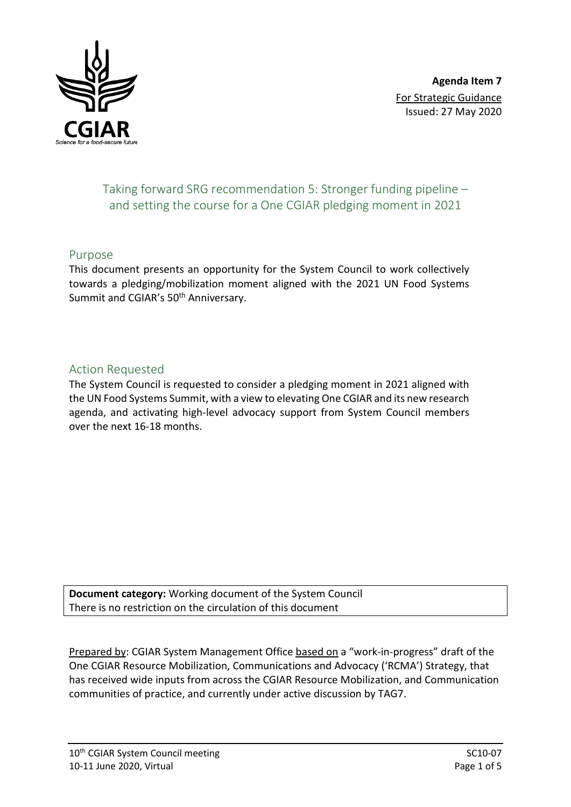

# Taking forward SRG recommendation 5: Stronger funding pipeline – and setting the course for a One CGIAR pledging moment in 2021

## Purpose

This document presents an opportunity for the System Council to work collectively towards a pledging/mobilization moment aligned with the 2021 UN Food Systems Summit and CGIAR's 50<sup>th</sup> Anniversary.

# Action Requested

The System Council is requested to consider a pledging moment in 2021 aligned with the UN Food Systems Summit, with a view to elevating One CGIAR and its new research agenda, and activating high-level advocacy support from System Council members over the next 16-18 months.

**Document category:** Working document of the System Council There is no restriction on the circulation of this document

Prepared by: CGIAR System Management Office based on a "work-in-progress" draft of the One CGIAR Resource Mobilization, Communications and Advocacy ('RCMA') Strategy, that has received wide inputs from across the CGIAR Resource Mobilization, and Communication communities of practice, and currently under active discussion by TAG7.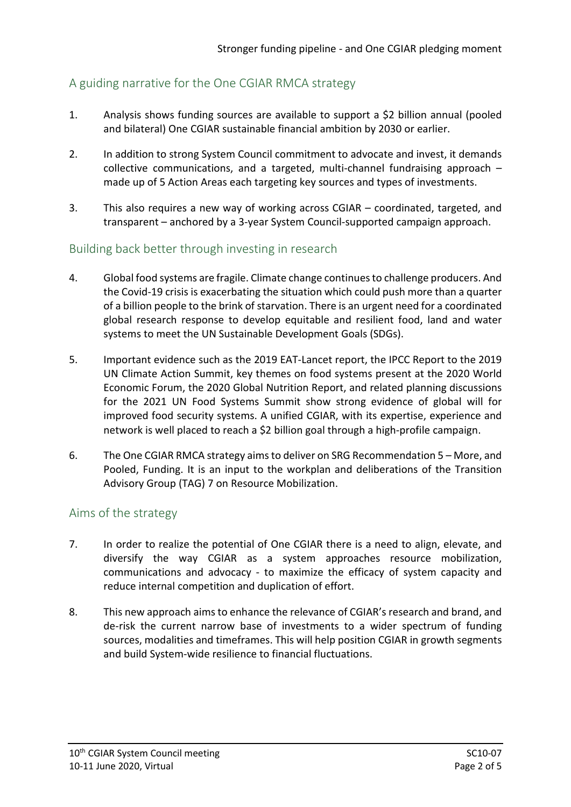# A guiding narrative for the One CGIAR RMCA strategy

- 1. Analysis shows funding sources are available to support a \$2 billion annual (pooled and bilateral) One CGIAR sustainable financial ambition by 2030 or earlier.
- 2. In addition to strong System Council commitment to advocate and invest, it demands collective communications, and a targeted, multi-channel fundraising approach – made up of 5 Action Areas each targeting key sources and types of investments.
- 3. This also requires a new way of working across CGIAR coordinated, targeted, and transparent – anchored by a 3-year System Council-supported campaign approach.

## Building back better through investing in research

- 4. Global food systems are fragile. Climate change continues to challenge producers. And the Covid-19 crisis is exacerbating the situation which could push more than a quarter of a billion people to the brink of starvation. There is an urgent need for a coordinated global research response to develop equitable and resilient food, land and water systems to meet the UN Sustainable Development Goals (SDGs).
- 5. Important evidence such as the 2019 EAT-Lancet report, the IPCC Report to the 2019 UN Climate Action Summit, key themes on food systems present at the 2020 World Economic Forum, the 2020 Global Nutrition Report, and related planning discussions for the 2021 UN Food Systems Summit show strong evidence of global will for improved food security systems. A unified CGIAR, with its expertise, experience and network is well placed to reach a \$2 billion goal through a high-profile campaign.
- 6. The One CGIAR RMCA strategy aims to deliver on SRG Recommendation 5 More, and Pooled, Funding. It is an input to the workplan and deliberations of the Transition Advisory Group (TAG) 7 on Resource Mobilization.

## Aims of the strategy

- 7. In order to realize the potential of One CGIAR there is a need to align, elevate, and diversify the way CGIAR as a system approaches resource mobilization, communications and advocacy - to maximize the efficacy of system capacity and reduce internal competition and duplication of effort.
- 8. This new approach aimsto enhance the relevance of CGIAR's research and brand, and de-risk the current narrow base of investments to a wider spectrum of funding sources, modalities and timeframes. This will help position CGIAR in growth segments and build System-wide resilience to financial fluctuations.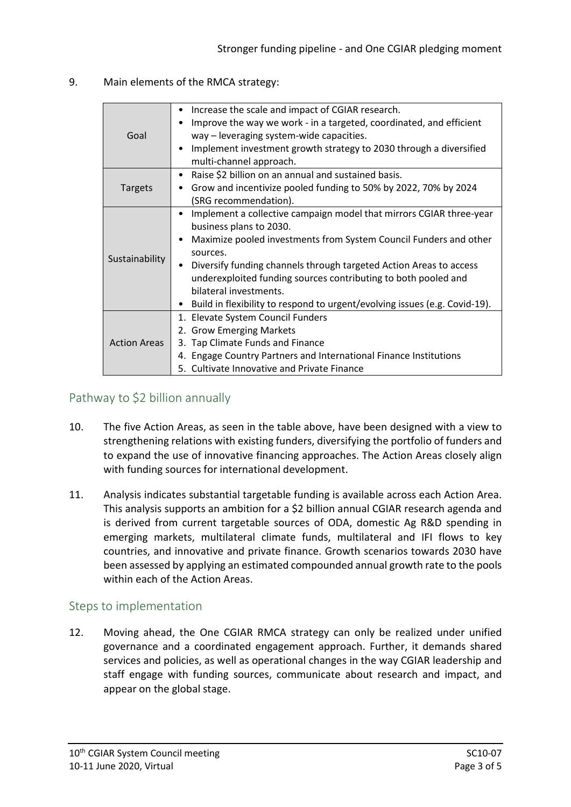#### 9. Main elements of the RMCA strategy:

| Goal                | Increase the scale and impact of CGIAR research.<br>Improve the way we work - in a targeted, coordinated, and efficient<br>way – leveraging system-wide capacities.<br>Implement investment growth strategy to 2030 through a diversified<br>multi-channel approach.                                                                                                                                                                                                        |
|---------------------|-----------------------------------------------------------------------------------------------------------------------------------------------------------------------------------------------------------------------------------------------------------------------------------------------------------------------------------------------------------------------------------------------------------------------------------------------------------------------------|
| <b>Targets</b>      | Raise \$2 billion on an annual and sustained basis.<br>٠<br>Grow and incentivize pooled funding to 50% by 2022, 70% by 2024<br>(SRG recommendation).                                                                                                                                                                                                                                                                                                                        |
| Sustainability      | Implement a collective campaign model that mirrors CGIAR three-year<br>٠<br>business plans to 2030.<br>Maximize pooled investments from System Council Funders and other<br>$\bullet$<br>sources.<br>Diversify funding channels through targeted Action Areas to access<br>$\bullet$<br>underexploited funding sources contributing to both pooled and<br>bilateral investments.<br>Build in flexibility to respond to urgent/evolving issues (e.g. Covid-19).<br>$\bullet$ |
| <b>Action Areas</b> | 1. Elevate System Council Funders<br>2. Grow Emerging Markets<br>3. Tap Climate Funds and Finance<br>4. Engage Country Partners and International Finance Institutions<br><b>Cultivate Innovative and Private Finance</b>                                                                                                                                                                                                                                                   |

# Pathway to \$2 billion annually

- 10. The five Action Areas, as seen in the table above, have been designed with a view to strengthening relations with existing funders, diversifying the portfolio of funders and to expand the use of innovative financing approaches. The Action Areas closely align with funding sources for international development.
- 11. Analysis indicates substantial targetable funding is available across each Action Area. This analysis supports an ambition for a \$2 billion annual CGIAR research agenda and is derived from current targetable sources of ODA, domestic Ag R&D spending in emerging markets, multilateral climate funds, multilateral and IFI flows to key countries, and innovative and private finance. Growth scenarios towards 2030 have been assessed by applying an estimated compounded annual growth rate to the pools within each of the Action Areas.

## Steps to implementation

12. Moving ahead, the One CGIAR RMCA strategy can only be realized under unified governance and a coordinated engagement approach. Further, it demands shared services and policies, as well as operational changes in the way CGIAR leadership and staff engage with funding sources, communicate about research and impact, and appear on the global stage.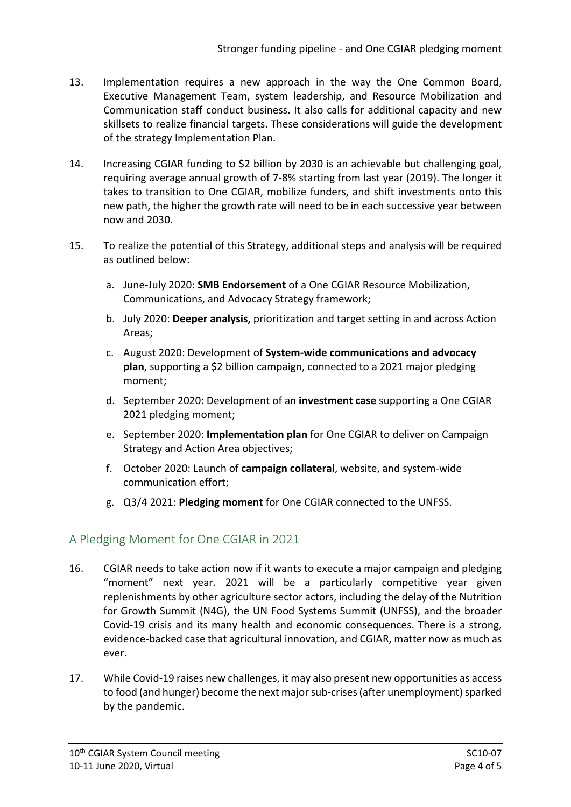- 13. Implementation requires a new approach in the way the One Common Board, Executive Management Team, system leadership, and Resource Mobilization and Communication staff conduct business. It also calls for additional capacity and new skillsets to realize financial targets. These considerations will guide the development of the strategy Implementation Plan.
- 14. Increasing CGIAR funding to \$2 billion by 2030 is an achievable but challenging goal, requiring average annual growth of 7-8% starting from last year (2019). The longer it takes to transition to One CGIAR, mobilize funders, and shift investments onto this new path, the higher the growth rate will need to be in each successive year between now and 2030.
- 15. To realize the potential of this Strategy, additional steps and analysis will be required as outlined below:
	- a. June-July 2020: **SMB Endorsement** of a One CGIAR Resource Mobilization, Communications, and Advocacy Strategy framework;
	- b. July 2020: **Deeper analysis,** prioritization and target setting in and across Action Areas;
	- c. August 2020: Development of **System-wide communications and advocacy plan**, supporting a \$2 billion campaign, connected to a 2021 major pledging moment;
	- d. September 2020: Development of an **investment case** supporting a One CGIAR 2021 pledging moment;
	- e. September 2020: **Implementation plan** for One CGIAR to deliver on Campaign Strategy and Action Area objectives;
	- f. October 2020: Launch of **campaign collateral**, website, and system-wide communication effort;
	- g. Q3/4 2021: **Pledging moment** for One CGIAR connected to the UNFSS.

# A Pledging Moment for One CGIAR in 2021

- 16. CGIAR needs to take action now if it wants to execute a major campaign and pledging "moment" next year. 2021 will be a particularly competitive year given replenishments by other agriculture sector actors, including the delay of the Nutrition for Growth Summit (N4G), the UN Food Systems Summit (UNFSS), and the broader Covid-19 crisis and its many health and economic consequences. There is a strong, evidence-backed case that agricultural innovation, and CGIAR, matter now as much as ever.
- 17. While Covid-19 raises new challenges, it may also present new opportunities as access to food (and hunger) become the next major sub-crises (after unemployment) sparked by the pandemic.